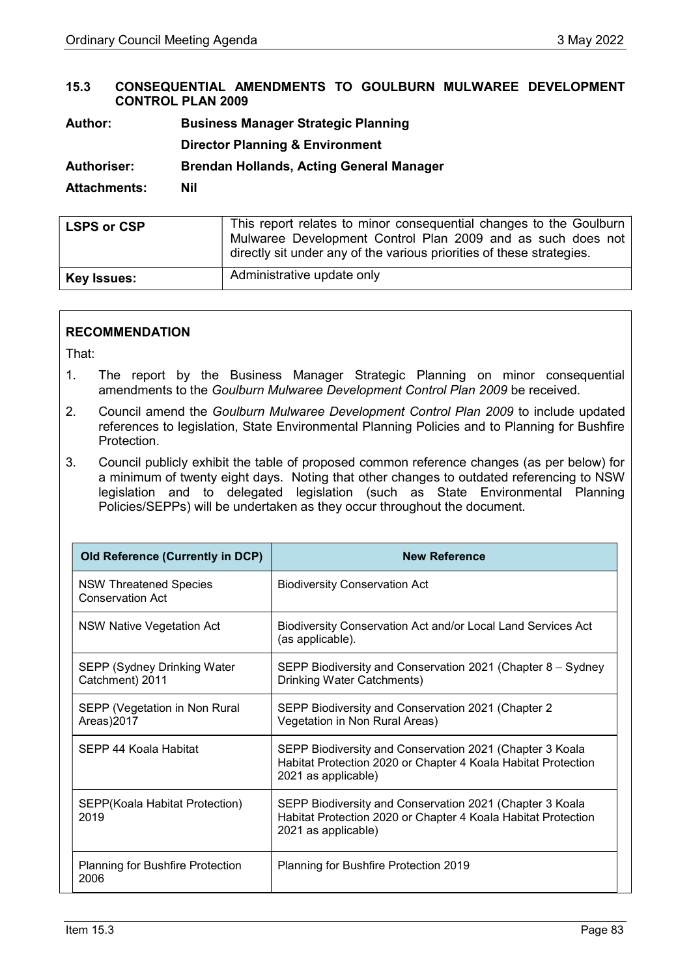### 15.3 CONSEQUENTIAL AMENDMENTS TO GOULBURN MULWAREE DEVELOPMENT CONTROL PLAN 2009

Author: Business Manager Strategic Planning

Director Planning & Environment

Authoriser: Brendan Hollands, Acting General Manager

### Attachments: Nil

| <b>LSPS or CSP</b> | This report relates to minor consequential changes to the Goulburn<br>Mulwaree Development Control Plan 2009 and as such does not<br>directly sit under any of the various priorities of these strategies. |
|--------------------|------------------------------------------------------------------------------------------------------------------------------------------------------------------------------------------------------------|
| <b>Key Issues:</b> | Administrative update only                                                                                                                                                                                 |

## RECOMMENDATION

That:

- 1. The report by the Business Manager Strategic Planning on minor consequential amendments to the Goulburn Mulwaree Development Control Plan 2009 be received.
- 2. Council amend the Goulburn Mulwaree Development Control Plan 2009 to include updated references to legislation, State Environmental Planning Policies and to Planning for Bushfire Protection.
- 3. Council publicly exhibit the table of proposed common reference changes (as per below) for a minimum of twenty eight days. Noting that other changes to outdated referencing to NSW legislation and to delegated legislation (such as State Environmental Planning Policies/SEPPs) will be undertaken as they occur throughout the document.

| <b>Old Reference (Currently in DCP)</b>           | <b>New Reference</b>                                                                                                                             |
|---------------------------------------------------|--------------------------------------------------------------------------------------------------------------------------------------------------|
| <b>NSW Threatened Species</b><br>Conservation Act | <b>Biodiversity Conservation Act</b>                                                                                                             |
| NSW Native Vegetation Act                         | Biodiversity Conservation Act and/or Local Land Services Act<br>(as applicable).                                                                 |
| SEPP (Sydney Drinking Water<br>Catchment) 2011    | SEPP Biodiversity and Conservation 2021 (Chapter 8 – Sydney<br>Drinking Water Catchments)                                                        |
| SEPP (Vegetation in Non Rural<br>Areas)2017       | SEPP Biodiversity and Conservation 2021 (Chapter 2<br>Vegetation in Non Rural Areas)                                                             |
| SEPP 44 Koala Habitat                             | SEPP Biodiversity and Conservation 2021 (Chapter 3 Koala<br>Habitat Protection 2020 or Chapter 4 Koala Habitat Protection<br>2021 as applicable) |
| SEPP(Koala Habitat Protection)<br>2019            | SEPP Biodiversity and Conservation 2021 (Chapter 3 Koala<br>Habitat Protection 2020 or Chapter 4 Koala Habitat Protection<br>2021 as applicable) |
| <b>Planning for Bushfire Protection</b><br>2006   | Planning for Bushfire Protection 2019                                                                                                            |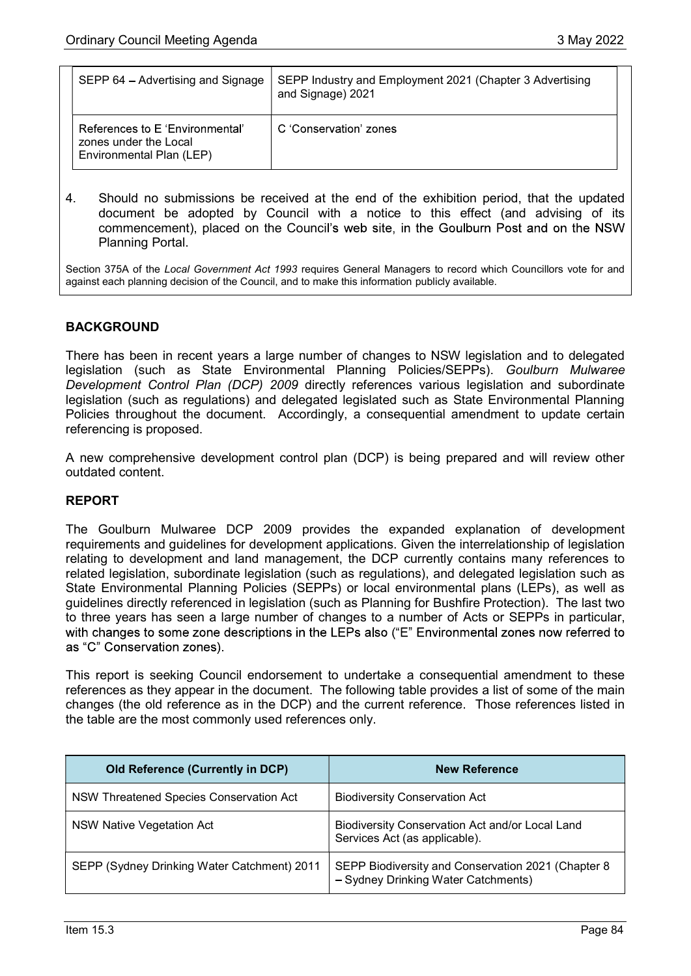| SEPP 64 - Advertising and Signage                                                    | SEPP Industry and Employment 2021 (Chapter 3 Advertising<br>and Signage) 2021 |
|--------------------------------------------------------------------------------------|-------------------------------------------------------------------------------|
| References to E 'Environmental'<br>zones under the Local<br>Environmental Plan (LEP) | C 'Conservation' zones                                                        |

4. Should no submissions be received at the end of the exhibition period, that the updated document be adopted by Council with a notice to this effect (and advising of its commencement), placed on the Council's web site, in the Goulburn Post and on the NSW Planning Portal.

Section 375A of the Local Government Act 1993 requires General Managers to record which Councillors vote for and against each planning decision of the Council, and to make this information publicly available.

## **BACKGROUND**

There has been in recent years a large number of changes to NSW legislation and to delegated legislation (such as State Environmental Planning Policies/SEPPs). Goulburn Mulwaree Development Control Plan (DCP) 2009 directly references various legislation and subordinate legislation (such as regulations) and delegated legislated such as State Environmental Planning Policies throughout the document. Accordingly, a consequential amendment to update certain referencing is proposed.

A new comprehensive development control plan (DCP) is being prepared and will review other outdated content.

#### REPORT

The Goulburn Mulwaree DCP 2009 provides the expanded explanation of development requirements and guidelines for development applications. Given the interrelationship of legislation relating to development and land management, the DCP currently contains many references to related legislation, subordinate legislation (such as regulations), and delegated legislation such as State Environmental Planning Policies (SEPPs) or local environmental plans (LEPs), as well as guidelines directly referenced in legislation (such as Planning for Bushfire Protection). The last two to three years has seen a large number of changes to a number of Acts or SEPPs in particular, with changes to some zone descriptions in the LEPs also ("E" Environmental zones now referred to as "C" Conservation zones).

This report is seeking Council endorsement to undertake a consequential amendment to these references as they appear in the document. The following table provides a list of some of the main changes (the old reference as in the DCP) and the current reference. Those references listed in the table are the most commonly used references only.

| <b>Old Reference (Currently in DCP)</b>     | <b>New Reference</b>                                                                      |
|---------------------------------------------|-------------------------------------------------------------------------------------------|
| NSW Threatened Species Conservation Act     | <b>Biodiversity Conservation Act</b>                                                      |
| NSW Native Vegetation Act                   | Biodiversity Conservation Act and/or Local Land<br>Services Act (as applicable).          |
| SEPP (Sydney Drinking Water Catchment) 2011 | SEPP Biodiversity and Conservation 2021 (Chapter 8<br>- Sydney Drinking Water Catchments) |